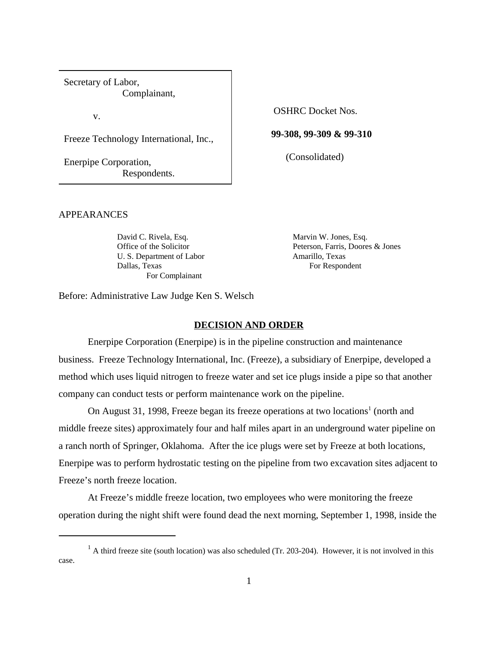Secretary of Labor, Complainant,

v.

Freeze Technology International, Inc.,

Enerpipe Corporation, Respondents. OSHRC Docket Nos.

**99-308, 99-309 & 99-310**

(Consolidated)

APPEARANCES

U. S. Department of Labor Amarillo, Texas Dallas, Texas For Respondent For Complainant

David C. Rivela, Esq. Marvin W. Jones, Esq. Office of the Solicitor Peterson, Farris, Doores & Jones

Before: Administrative Law Judge Ken S. Welsch

### **DECISION AND ORDER**

Enerpipe Corporation (Enerpipe) is in the pipeline construction and maintenance business. Freeze Technology International, Inc. (Freeze), a subsidiary of Enerpipe, developed a method which uses liquid nitrogen to freeze water and set ice plugs inside a pipe so that another company can conduct tests or perform maintenance work on the pipeline.

On August 31, 1998, Freeze began its freeze operations at two locations<sup>1</sup> (north and middle freeze sites) approximately four and half miles apart in an underground water pipeline on a ranch north of Springer, Oklahoma. After the ice plugs were set by Freeze at both locations, Enerpipe was to perform hydrostatic testing on the pipeline from two excavation sites adjacent to Freeze's north freeze location.

At Freeze's middle freeze location, two employees who were monitoring the freeze operation during the night shift were found dead the next morning, September 1, 1998, inside the

 $<sup>1</sup>$  A third freeze site (south location) was also scheduled (Tr. 203-204). However, it is not involved in this</sup> case.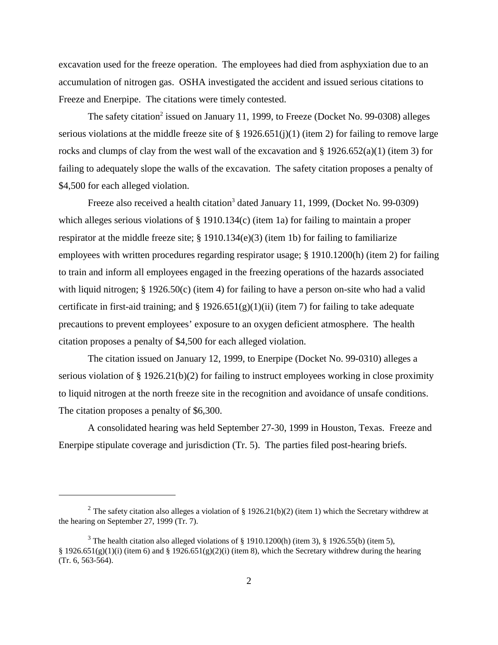excavation used for the freeze operation. The employees had died from asphyxiation due to an accumulation of nitrogen gas. OSHA investigated the accident and issued serious citations to Freeze and Enerpipe. The citations were timely contested.

The safety citation<sup>2</sup> issued on January 11, 1999, to Freeze (Docket No. 99-0308) alleges serious violations at the middle freeze site of § 1926.651(j)(1) (item 2) for failing to remove large rocks and clumps of clay from the west wall of the excavation and  $\S 1926.652(a)(1)$  (item 3) for failing to adequately slope the walls of the excavation. The safety citation proposes a penalty of \$4,500 for each alleged violation.

Freeze also received a health citation<sup>3</sup> dated January 11, 1999, (Docket No. 99-0309) which alleges serious violations of § 1910.134(c) (item 1a) for failing to maintain a proper respirator at the middle freeze site; § 1910.134(e)(3) (item 1b) for failing to familiarize employees with written procedures regarding respirator usage; § 1910.1200(h) (item 2) for failing to train and inform all employees engaged in the freezing operations of the hazards associated with liquid nitrogen; § 1926.50(c) (item 4) for failing to have a person on-site who had a valid certificate in first-aid training; and  $\S 1926.651(g)(1)(ii)$  (item 7) for failing to take adequate precautions to prevent employees' exposure to an oxygen deficient atmosphere. The health citation proposes a penalty of \$4,500 for each alleged violation.

The citation issued on January 12, 1999, to Enerpipe (Docket No. 99-0310) alleges a serious violation of § 1926.21(b)(2) for failing to instruct employees working in close proximity to liquid nitrogen at the north freeze site in the recognition and avoidance of unsafe conditions. The citation proposes a penalty of \$6,300.

A consolidated hearing was held September 27-30, 1999 in Houston, Texas. Freeze and Enerpipe stipulate coverage and jurisdiction (Tr. 5). The parties filed post-hearing briefs.

<sup>&</sup>lt;sup>2</sup> The safety citation also alleges a violation of § 1926.21(b)(2) (item 1) which the Secretary withdrew at the hearing on September 27, 1999 (Tr. 7).

<sup>&</sup>lt;sup>3</sup> The health citation also alleged violations of § 1910.1200(h) (item 3), § 1926.55(b) (item 5), § 1926.651(g)(1)(i) (item 6) and § 1926.651(g)(2)(i) (item 8), which the Secretary withdrew during the hearing (Tr. 6, 563-564).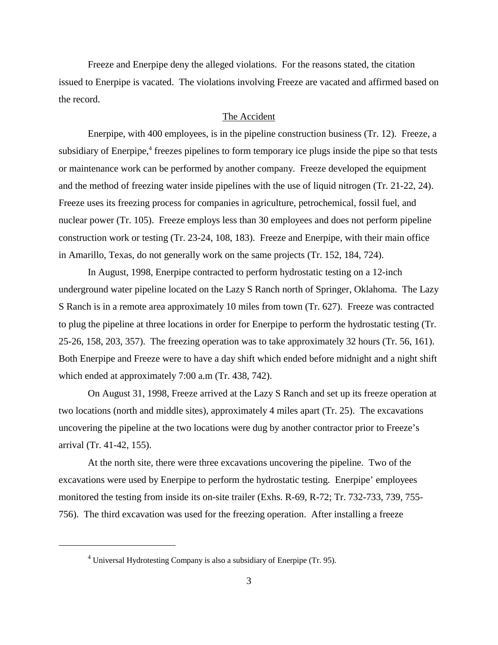Freeze and Enerpipe deny the alleged violations. For the reasons stated, the citation issued to Enerpipe is vacated. The violations involving Freeze are vacated and affirmed based on the record.

### The Accident

Enerpipe, with 400 employees, is in the pipeline construction business (Tr. 12). Freeze, a subsidiary of Enerpipe,<sup>4</sup> freezes pipelines to form temporary ice plugs inside the pipe so that tests or maintenance work can be performed by another company. Freeze developed the equipment and the method of freezing water inside pipelines with the use of liquid nitrogen (Tr. 21-22, 24). Freeze uses its freezing process for companies in agriculture, petrochemical, fossil fuel, and nuclear power (Tr. 105). Freeze employs less than 30 employees and does not perform pipeline construction work or testing (Tr. 23-24, 108, 183). Freeze and Enerpipe, with their main office in Amarillo, Texas, do not generally work on the same projects (Tr. 152, 184, 724).

In August, 1998, Enerpipe contracted to perform hydrostatic testing on a 12-inch underground water pipeline located on the Lazy S Ranch north of Springer, Oklahoma. The Lazy S Ranch is in a remote area approximately 10 miles from town (Tr. 627). Freeze was contracted to plug the pipeline at three locations in order for Enerpipe to perform the hydrostatic testing (Tr. 25-26, 158, 203, 357). The freezing operation was to take approximately 32 hours (Tr. 56, 161). Both Enerpipe and Freeze were to have a day shift which ended before midnight and a night shift which ended at approximately 7:00 a.m (Tr. 438, 742).

 On August 31, 1998, Freeze arrived at the Lazy S Ranch and set up its freeze operation at two locations (north and middle sites), approximately 4 miles apart (Tr. 25). The excavations uncovering the pipeline at the two locations were dug by another contractor prior to Freeze's arrival (Tr. 41-42, 155).

At the north site, there were three excavations uncovering the pipeline. Two of the excavations were used by Enerpipe to perform the hydrostatic testing. Enerpipe' employees monitored the testing from inside its on-site trailer (Exhs. R-69, R-72; Tr. 732-733, 739, 755- 756). The third excavation was used for the freezing operation. After installing a freeze

 $<sup>4</sup>$  Universal Hydrotesting Company is also a subsidiary of Enerpipe (Tr. 95).</sup>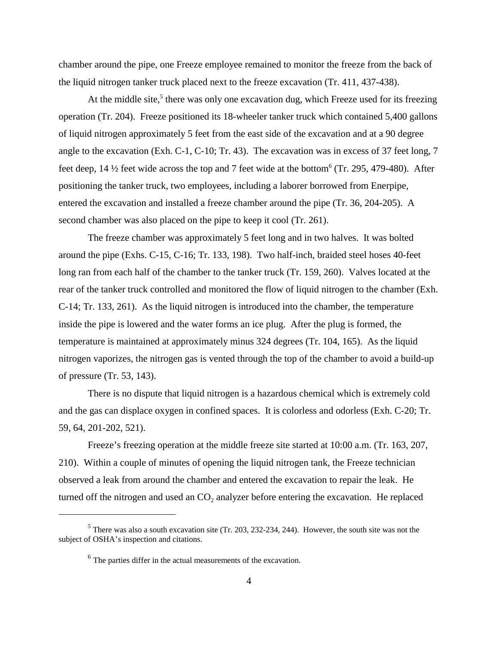chamber around the pipe, one Freeze employee remained to monitor the freeze from the back of the liquid nitrogen tanker truck placed next to the freeze excavation (Tr. 411, 437-438).

At the middle site,<sup>5</sup> there was only one excavation dug, which Freeze used for its freezing operation (Tr. 204). Freeze positioned its 18-wheeler tanker truck which contained 5,400 gallons of liquid nitrogen approximately 5 feet from the east side of the excavation and at a 90 degree angle to the excavation (Exh. C-1, C-10; Tr. 43). The excavation was in excess of 37 feet long, 7 feet deep, 14  $\frac{1}{2}$  feet wide across the top and 7 feet wide at the bottom<sup>6</sup> (Tr. 295, 479-480). After positioning the tanker truck, two employees, including a laborer borrowed from Enerpipe, entered the excavation and installed a freeze chamber around the pipe (Tr. 36, 204-205). A second chamber was also placed on the pipe to keep it cool (Tr. 261).

The freeze chamber was approximately 5 feet long and in two halves. It was bolted around the pipe (Exhs. C-15, C-16; Tr. 133, 198). Two half-inch, braided steel hoses 40-feet long ran from each half of the chamber to the tanker truck (Tr. 159, 260). Valves located at the rear of the tanker truck controlled and monitored the flow of liquid nitrogen to the chamber (Exh. C-14; Tr. 133, 261). As the liquid nitrogen is introduced into the chamber, the temperature inside the pipe is lowered and the water forms an ice plug. After the plug is formed, the temperature is maintained at approximately minus 324 degrees (Tr. 104, 165). As the liquid nitrogen vaporizes, the nitrogen gas is vented through the top of the chamber to avoid a build-up of pressure (Tr. 53, 143).

There is no dispute that liquid nitrogen is a hazardous chemical which is extremely cold and the gas can displace oxygen in confined spaces. It is colorless and odorless (Exh. C-20; Tr. 59, 64, 201-202, 521).

Freeze's freezing operation at the middle freeze site started at 10:00 a.m. (Tr. 163, 207, 210). Within a couple of minutes of opening the liquid nitrogen tank, the Freeze technician observed a leak from around the chamber and entered the excavation to repair the leak. He turned off the nitrogen and used an  $CO<sub>2</sub>$  analyzer before entering the excavation. He replaced

 $<sup>5</sup>$  There was also a south excavation site (Tr. 203, 232-234, 244). However, the south site was not the</sup> subject of OSHA's inspection and citations.

 $<sup>6</sup>$  The parties differ in the actual measurements of the excavation.</sup>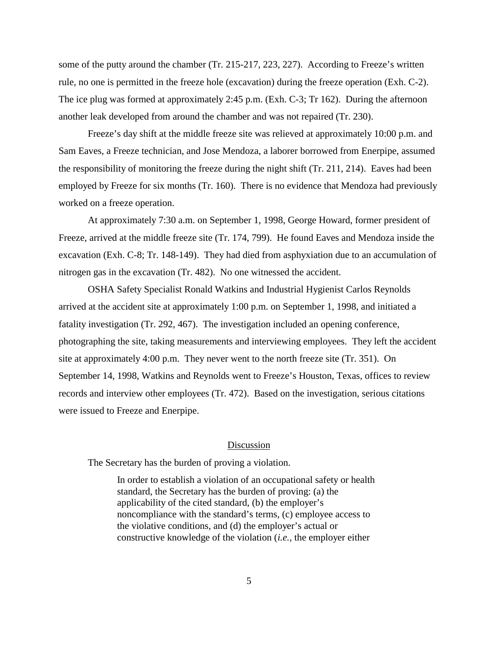some of the putty around the chamber (Tr. 215-217, 223, 227). According to Freeze's written rule, no one is permitted in the freeze hole (excavation) during the freeze operation (Exh. C-2). The ice plug was formed at approximately 2:45 p.m. (Exh. C-3; Tr 162). During the afternoon another leak developed from around the chamber and was not repaired (Tr. 230).

 Freeze's day shift at the middle freeze site was relieved at approximately 10:00 p.m. and Sam Eaves, a Freeze technician, and Jose Mendoza, a laborer borrowed from Enerpipe, assumed the responsibility of monitoring the freeze during the night shift (Tr. 211, 214). Eaves had been employed by Freeze for six months (Tr. 160). There is no evidence that Mendoza had previously worked on a freeze operation.

At approximately 7:30 a.m. on September 1, 1998, George Howard, former president of Freeze, arrived at the middle freeze site (Tr. 174, 799). He found Eaves and Mendoza inside the excavation (Exh. C-8; Tr. 148-149). They had died from asphyxiation due to an accumulation of nitrogen gas in the excavation (Tr. 482). No one witnessed the accident.

OSHA Safety Specialist Ronald Watkins and Industrial Hygienist Carlos Reynolds arrived at the accident site at approximately 1:00 p.m. on September 1, 1998, and initiated a fatality investigation (Tr. 292, 467). The investigation included an opening conference, photographing the site, taking measurements and interviewing employees. They left the accident site at approximately 4:00 p.m. They never went to the north freeze site (Tr. 351). On September 14, 1998, Watkins and Reynolds went to Freeze's Houston, Texas, offices to review records and interview other employees (Tr. 472). Based on the investigation, serious citations were issued to Freeze and Enerpipe.

#### Discussion

The Secretary has the burden of proving a violation.

In order to establish a violation of an occupational safety or health standard, the Secretary has the burden of proving: (a) the applicability of the cited standard, (b) the employer's noncompliance with the standard's terms, (c) employee access to the violative conditions, and (d) the employer's actual or constructive knowledge of the violation (*i.e.,* the employer either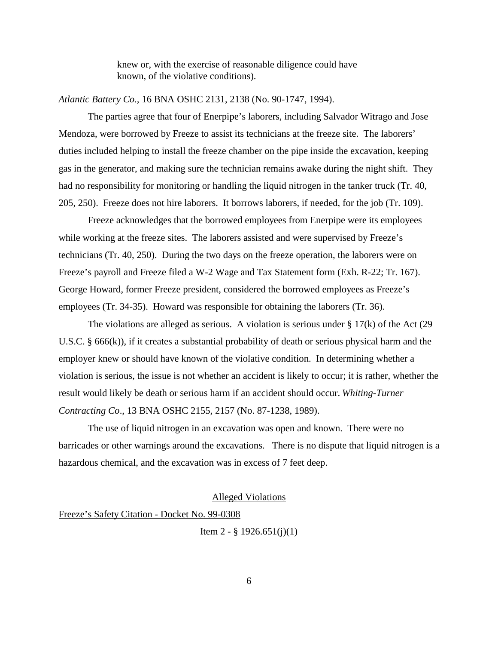knew or, with the exercise of reasonable diligence could have known, of the violative conditions).

## *Atlantic Battery Co.,* 16 BNA OSHC 2131, 2138 (No. 90-1747, 1994).

The parties agree that four of Enerpipe's laborers, including Salvador Witrago and Jose Mendoza, were borrowed by Freeze to assist its technicians at the freeze site. The laborers' duties included helping to install the freeze chamber on the pipe inside the excavation, keeping gas in the generator, and making sure the technician remains awake during the night shift. They had no responsibility for monitoring or handling the liquid nitrogen in the tanker truck (Tr. 40, 205, 250). Freeze does not hire laborers. It borrows laborers, if needed, for the job (Tr. 109).

Freeze acknowledges that the borrowed employees from Enerpipe were its employees while working at the freeze sites. The laborers assisted and were supervised by Freeze's technicians (Tr. 40, 250). During the two days on the freeze operation, the laborers were on Freeze's payroll and Freeze filed a W-2 Wage and Tax Statement form (Exh. R-22; Tr. 167). George Howard, former Freeze president, considered the borrowed employees as Freeze's employees (Tr. 34-35). Howard was responsible for obtaining the laborers (Tr. 36).

The violations are alleged as serious. A violation is serious under  $\S 17(k)$  of the Act (29 U.S.C. § 666(k)), if it creates a substantial probability of death or serious physical harm and the employer knew or should have known of the violative condition. In determining whether a violation is serious, the issue is not whether an accident is likely to occur; it is rather, whether the result would likely be death or serious harm if an accident should occur. *Whiting-Turner Contracting Co*., 13 BNA OSHC 2155, 2157 (No. 87-1238, 1989).

The use of liquid nitrogen in an excavation was open and known. There were no barricades or other warnings around the excavations. There is no dispute that liquid nitrogen is a hazardous chemical, and the excavation was in excess of 7 feet deep.

## Alleged Violations

Freeze's Safety Citation - Docket No. 99-0308

Item 2 -  $\S$  1926.651(j)(1)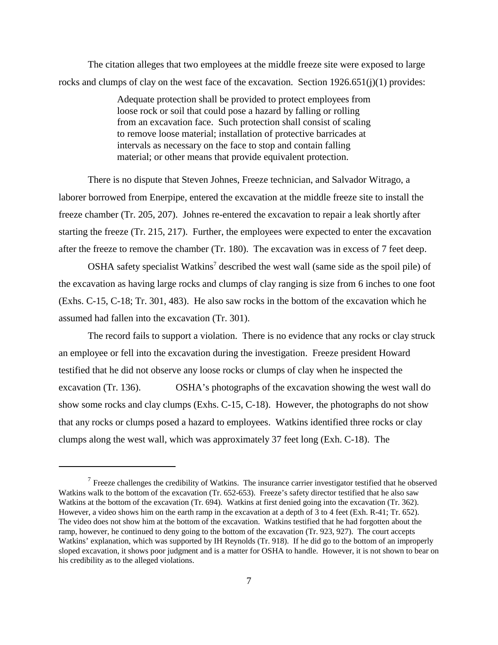The citation alleges that two employees at the middle freeze site were exposed to large rocks and clumps of clay on the west face of the excavation. Section 1926.651(j)(1) provides:

> Adequate protection shall be provided to protect employees from loose rock or soil that could pose a hazard by falling or rolling from an excavation face. Such protection shall consist of scaling to remove loose material; installation of protective barricades at intervals as necessary on the face to stop and contain falling material; or other means that provide equivalent protection.

There is no dispute that Steven Johnes, Freeze technician, and Salvador Witrago, a laborer borrowed from Enerpipe, entered the excavation at the middle freeze site to install the freeze chamber (Tr. 205, 207). Johnes re-entered the excavation to repair a leak shortly after starting the freeze (Tr. 215, 217). Further, the employees were expected to enter the excavation after the freeze to remove the chamber (Tr. 180). The excavation was in excess of 7 feet deep.

OSHA safety specialist Watkins<sup>7</sup> described the west wall (same side as the spoil pile) of the excavation as having large rocks and clumps of clay ranging is size from 6 inches to one foot (Exhs. C-15, C-18; Tr. 301, 483). He also saw rocks in the bottom of the excavation which he assumed had fallen into the excavation (Tr. 301).

The record fails to support a violation. There is no evidence that any rocks or clay struck an employee or fell into the excavation during the investigation. Freeze president Howard testified that he did not observe any loose rocks or clumps of clay when he inspected the excavation (Tr. 136). OSHA's photographs of the excavation showing the west wall do show some rocks and clay clumps (Exhs. C-15, C-18). However, the photographs do not show that any rocks or clumps posed a hazard to employees. Watkins identified three rocks or clay clumps along the west wall, which was approximately 37 feet long (Exh. C-18). The

 $7$  Freeze challenges the credibility of Watkins. The insurance carrier investigator testified that he observed Watkins walk to the bottom of the excavation (Tr. 652-653). Freeze's safety director testified that he also saw Watkins at the bottom of the excavation (Tr. 694). Watkins at first denied going into the excavation (Tr. 362). However, a video shows him on the earth ramp in the excavation at a depth of 3 to 4 feet (Exh. R-41; Tr. 652). The video does not show him at the bottom of the excavation. Watkins testified that he had forgotten about the ramp, however, he continued to deny going to the bottom of the excavation (Tr. 923, 927). The court accepts Watkins' explanation, which was supported by IH Reynolds (Tr. 918). If he did go to the bottom of an improperly sloped excavation, it shows poor judgment and is a matter for OSHA to handle. However, it is not shown to bear on his credibility as to the alleged violations.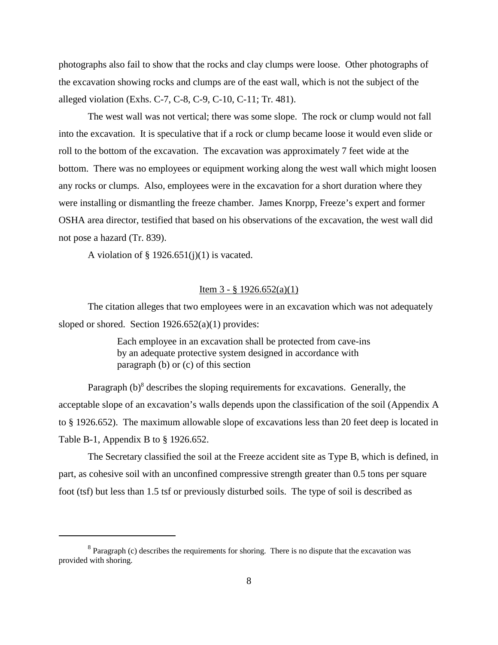photographs also fail to show that the rocks and clay clumps were loose. Other photographs of the excavation showing rocks and clumps are of the east wall, which is not the subject of the alleged violation (Exhs. C-7, C-8, C-9, C-10, C-11; Tr. 481).

The west wall was not vertical; there was some slope. The rock or clump would not fall into the excavation. It is speculative that if a rock or clump became loose it would even slide or roll to the bottom of the excavation. The excavation was approximately 7 feet wide at the bottom. There was no employees or equipment working along the west wall which might loosen any rocks or clumps. Also, employees were in the excavation for a short duration where they were installing or dismantling the freeze chamber. James Knorpp, Freeze's expert and former OSHA area director, testified that based on his observations of the excavation, the west wall did not pose a hazard (Tr. 839).

A violation of  $\S$  1926.651(j)(1) is vacated.

### Item  $3 - 8$  1926.652(a)(1)

The citation alleges that two employees were in an excavation which was not adequately sloped or shored. Section 1926.652(a)(1) provides:

> Each employee in an excavation shall be protected from cave-ins by an adequate protective system designed in accordance with paragraph (b) or (c) of this section

Paragraph (b)<sup>8</sup> describes the sloping requirements for excavations. Generally, the acceptable slope of an excavation's walls depends upon the classification of the soil (Appendix A to § 1926.652). The maximum allowable slope of excavations less than 20 feet deep is located in Table B-1, Appendix B to § 1926.652.

The Secretary classified the soil at the Freeze accident site as Type B, which is defined, in part, as cohesive soil with an unconfined compressive strength greater than 0.5 tons per square foot (tsf) but less than 1.5 tsf or previously disturbed soils. The type of soil is described as

 $8$  Paragraph (c) describes the requirements for shoring. There is no dispute that the excavation was provided with shoring.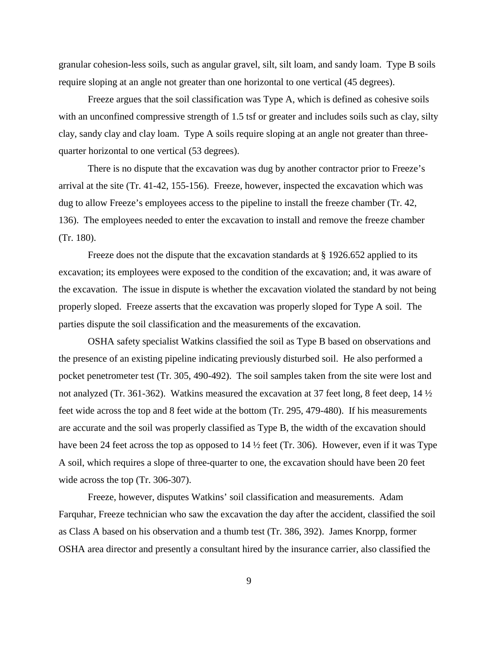granular cohesion-less soils, such as angular gravel, silt, silt loam, and sandy loam. Type B soils require sloping at an angle not greater than one horizontal to one vertical (45 degrees).

Freeze argues that the soil classification was Type A, which is defined as cohesive soils with an unconfined compressive strength of 1.5 tsf or greater and includes soils such as clay, silty clay, sandy clay and clay loam. Type A soils require sloping at an angle not greater than threequarter horizontal to one vertical (53 degrees).

There is no dispute that the excavation was dug by another contractor prior to Freeze's arrival at the site (Tr. 41-42, 155-156). Freeze, however, inspected the excavation which was dug to allow Freeze's employees access to the pipeline to install the freeze chamber (Tr. 42, 136). The employees needed to enter the excavation to install and remove the freeze chamber (Tr. 180).

Freeze does not the dispute that the excavation standards at § 1926.652 applied to its excavation; its employees were exposed to the condition of the excavation; and, it was aware of the excavation. The issue in dispute is whether the excavation violated the standard by not being properly sloped. Freeze asserts that the excavation was properly sloped for Type A soil. The parties dispute the soil classification and the measurements of the excavation.

OSHA safety specialist Watkins classified the soil as Type B based on observations and the presence of an existing pipeline indicating previously disturbed soil. He also performed a pocket penetrometer test (Tr. 305, 490-492). The soil samples taken from the site were lost and not analyzed (Tr. 361-362). Watkins measured the excavation at 37 feet long, 8 feet deep, 14  $\frac{1}{2}$ feet wide across the top and 8 feet wide at the bottom (Tr. 295, 479-480). If his measurements are accurate and the soil was properly classified as Type B, the width of the excavation should have been 24 feet across the top as opposed to 14  $\frac{1}{2}$  feet (Tr. 306). However, even if it was Type A soil, which requires a slope of three-quarter to one, the excavation should have been 20 feet wide across the top (Tr. 306-307).

Freeze, however, disputes Watkins' soil classification and measurements. Adam Farquhar, Freeze technician who saw the excavation the day after the accident, classified the soil as Class A based on his observation and a thumb test (Tr. 386, 392). James Knorpp, former OSHA area director and presently a consultant hired by the insurance carrier, also classified the

9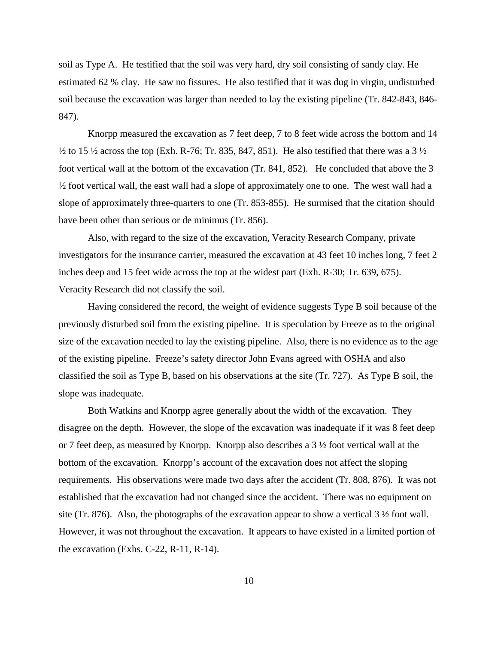soil as Type A. He testified that the soil was very hard, dry soil consisting of sandy clay. He estimated 62 % clay. He saw no fissures. He also testified that it was dug in virgin, undisturbed soil because the excavation was larger than needed to lay the existing pipeline (Tr. 842-843, 846- 847).

Knorpp measured the excavation as 7 feet deep, 7 to 8 feet wide across the bottom and 14  $\frac{1}{2}$  to 15  $\frac{1}{2}$  across the top (Exh. R-76; Tr. 835, 847, 851). He also testified that there was a 3  $\frac{1}{2}$ foot vertical wall at the bottom of the excavation (Tr. 841, 852). He concluded that above the 3 ½ foot vertical wall, the east wall had a slope of approximately one to one. The west wall had a slope of approximately three-quarters to one (Tr. 853-855). He surmised that the citation should have been other than serious or de minimus (Tr. 856).

Also, with regard to the size of the excavation, Veracity Research Company, private investigators for the insurance carrier, measured the excavation at 43 feet 10 inches long, 7 feet 2 inches deep and 15 feet wide across the top at the widest part (Exh. R-30; Tr. 639, 675). Veracity Research did not classify the soil.

Having considered the record, the weight of evidence suggests Type B soil because of the previously disturbed soil from the existing pipeline. It is speculation by Freeze as to the original size of the excavation needed to lay the existing pipeline. Also, there is no evidence as to the age of the existing pipeline. Freeze's safety director John Evans agreed with OSHA and also classified the soil as Type B, based on his observations at the site (Tr. 727). As Type B soil, the slope was inadequate.

Both Watkins and Knorpp agree generally about the width of the excavation. They disagree on the depth. However, the slope of the excavation was inadequate if it was 8 feet deep or 7 feet deep, as measured by Knorpp. Knorpp also describes a 3 ½ foot vertical wall at the bottom of the excavation. Knorpp's account of the excavation does not affect the sloping requirements. His observations were made two days after the accident (Tr. 808, 876). It was not established that the excavation had not changed since the accident. There was no equipment on site (Tr. 876). Also, the photographs of the excavation appear to show a vertical  $3\frac{1}{2}$  foot wall. However, it was not throughout the excavation. It appears to have existed in a limited portion of the excavation (Exhs. C-22, R-11, R-14).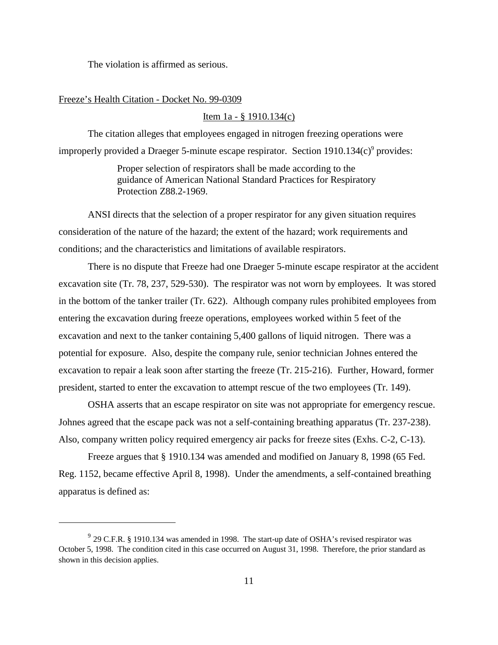The violation is affirmed as serious.

#### Freeze's Health Citation - Docket No. 99-0309

### Item 1a - § 1910.134(c)

The citation alleges that employees engaged in nitrogen freezing operations were improperly provided a Draeger 5-minute escape respirator. Section 1910.134(c)<sup>9</sup> provides:

> Proper selection of respirators shall be made according to the guidance of American National Standard Practices for Respiratory Protection Z88.2-1969.

ANSI directs that the selection of a proper respirator for any given situation requires consideration of the nature of the hazard; the extent of the hazard; work requirements and conditions; and the characteristics and limitations of available respirators.

There is no dispute that Freeze had one Draeger 5-minute escape respirator at the accident excavation site (Tr. 78, 237, 529-530). The respirator was not worn by employees. It was stored in the bottom of the tanker trailer (Tr. 622). Although company rules prohibited employees from entering the excavation during freeze operations, employees worked within 5 feet of the excavation and next to the tanker containing 5,400 gallons of liquid nitrogen. There was a potential for exposure. Also, despite the company rule, senior technician Johnes entered the excavation to repair a leak soon after starting the freeze (Tr. 215-216). Further, Howard, former president, started to enter the excavation to attempt rescue of the two employees (Tr. 149).

OSHA asserts that an escape respirator on site was not appropriate for emergency rescue. Johnes agreed that the escape pack was not a self-containing breathing apparatus (Tr. 237-238). Also, company written policy required emergency air packs for freeze sites (Exhs. C-2, C-13).

Freeze argues that § 1910.134 was amended and modified on January 8, 1998 (65 Fed. Reg. 1152, became effective April 8, 1998). Under the amendments, a self-contained breathing apparatus is defined as:

<sup>&</sup>lt;sup>9</sup> 29 C.F.R. § 1910.134 was amended in 1998. The start-up date of OSHA's revised respirator was October 5, 1998. The condition cited in this case occurred on August 31, 1998. Therefore, the prior standard as shown in this decision applies.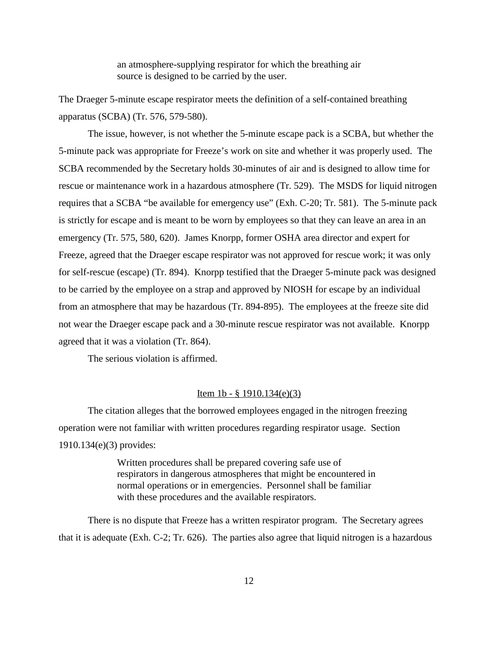an atmosphere-supplying respirator for which the breathing air source is designed to be carried by the user.

The Draeger 5-minute escape respirator meets the definition of a self-contained breathing apparatus (SCBA) (Tr. 576, 579-580).

The issue, however, is not whether the 5-minute escape pack is a SCBA, but whether the 5-minute pack was appropriate for Freeze's work on site and whether it was properly used. The SCBA recommended by the Secretary holds 30-minutes of air and is designed to allow time for rescue or maintenance work in a hazardous atmosphere (Tr. 529). The MSDS for liquid nitrogen requires that a SCBA "be available for emergency use" (Exh. C-20; Tr. 581). The 5-minute pack is strictly for escape and is meant to be worn by employees so that they can leave an area in an emergency (Tr. 575, 580, 620). James Knorpp, former OSHA area director and expert for Freeze, agreed that the Draeger escape respirator was not approved for rescue work; it was only for self-rescue (escape) (Tr. 894). Knorpp testified that the Draeger 5-minute pack was designed to be carried by the employee on a strap and approved by NIOSH for escape by an individual from an atmosphere that may be hazardous (Tr. 894-895). The employees at the freeze site did not wear the Draeger escape pack and a 30-minute rescue respirator was not available. Knorpp agreed that it was a violation (Tr. 864).

The serious violation is affirmed.

## Item 1b - § 1910.134(e)(3)

The citation alleges that the borrowed employees engaged in the nitrogen freezing operation were not familiar with written procedures regarding respirator usage. Section 1910.134(e)(3) provides:

> Written procedures shall be prepared covering safe use of respirators in dangerous atmospheres that might be encountered in normal operations or in emergencies. Personnel shall be familiar with these procedures and the available respirators.

There is no dispute that Freeze has a written respirator program. The Secretary agrees that it is adequate (Exh. C-2; Tr. 626). The parties also agree that liquid nitrogen is a hazardous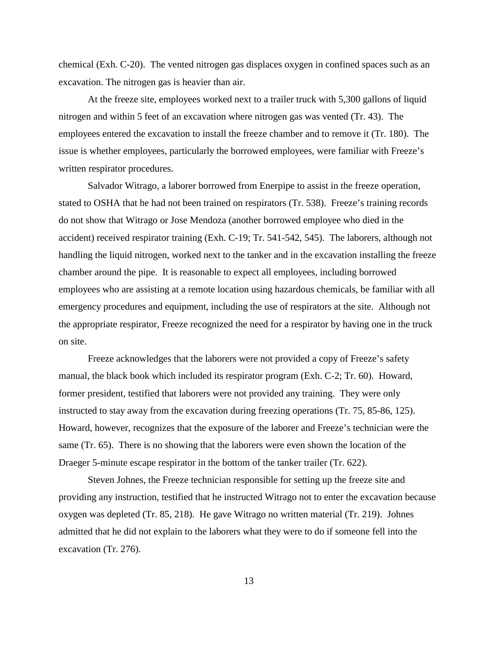chemical (Exh. C-20). The vented nitrogen gas displaces oxygen in confined spaces such as an excavation. The nitrogen gas is heavier than air.

At the freeze site, employees worked next to a trailer truck with 5,300 gallons of liquid nitrogen and within 5 feet of an excavation where nitrogen gas was vented (Tr. 43). The employees entered the excavation to install the freeze chamber and to remove it (Tr. 180). The issue is whether employees, particularly the borrowed employees, were familiar with Freeze's written respirator procedures.

Salvador Witrago, a laborer borrowed from Enerpipe to assist in the freeze operation, stated to OSHA that he had not been trained on respirators (Tr. 538). Freeze's training records do not show that Witrago or Jose Mendoza (another borrowed employee who died in the accident) received respirator training (Exh. C-19; Tr. 541-542, 545). The laborers, although not handling the liquid nitrogen, worked next to the tanker and in the excavation installing the freeze chamber around the pipe. It is reasonable to expect all employees, including borrowed employees who are assisting at a remote location using hazardous chemicals, be familiar with all emergency procedures and equipment, including the use of respirators at the site. Although not the appropriate respirator, Freeze recognized the need for a respirator by having one in the truck on site.

Freeze acknowledges that the laborers were not provided a copy of Freeze's safety manual, the black book which included its respirator program (Exh. C-2; Tr. 60). Howard, former president, testified that laborers were not provided any training. They were only instructed to stay away from the excavation during freezing operations (Tr. 75, 85-86, 125). Howard, however, recognizes that the exposure of the laborer and Freeze's technician were the same (Tr. 65). There is no showing that the laborers were even shown the location of the Draeger 5-minute escape respirator in the bottom of the tanker trailer (Tr. 622).

Steven Johnes, the Freeze technician responsible for setting up the freeze site and providing any instruction, testified that he instructed Witrago not to enter the excavation because oxygen was depleted (Tr. 85, 218). He gave Witrago no written material (Tr. 219). Johnes admitted that he did not explain to the laborers what they were to do if someone fell into the excavation (Tr. 276).

13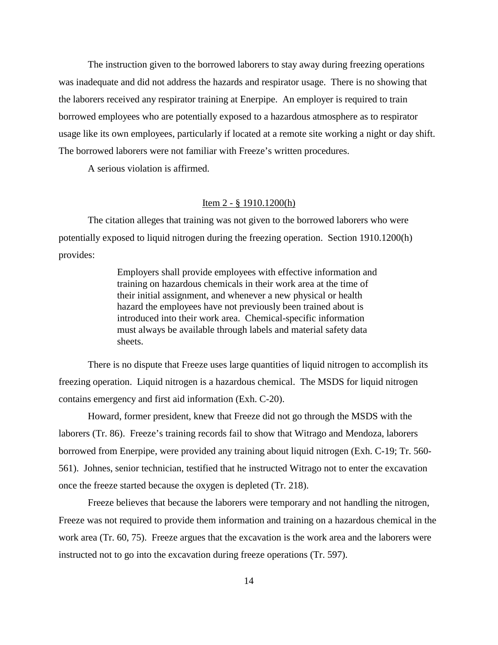The instruction given to the borrowed laborers to stay away during freezing operations was inadequate and did not address the hazards and respirator usage. There is no showing that the laborers received any respirator training at Enerpipe. An employer is required to train borrowed employees who are potentially exposed to a hazardous atmosphere as to respirator usage like its own employees, particularly if located at a remote site working a night or day shift. The borrowed laborers were not familiar with Freeze's written procedures.

A serious violation is affirmed.

## Item 2 - § 1910.1200(h)

The citation alleges that training was not given to the borrowed laborers who were potentially exposed to liquid nitrogen during the freezing operation. Section 1910.1200(h) provides:

> Employers shall provide employees with effective information and training on hazardous chemicals in their work area at the time of their initial assignment, and whenever a new physical or health hazard the employees have not previously been trained about is introduced into their work area. Chemical-specific information must always be available through labels and material safety data sheets.

There is no dispute that Freeze uses large quantities of liquid nitrogen to accomplish its freezing operation. Liquid nitrogen is a hazardous chemical. The MSDS for liquid nitrogen contains emergency and first aid information (Exh. C-20).

Howard, former president, knew that Freeze did not go through the MSDS with the laborers (Tr. 86). Freeze's training records fail to show that Witrago and Mendoza, laborers borrowed from Enerpipe, were provided any training about liquid nitrogen (Exh. C-19; Tr. 560- 561). Johnes, senior technician, testified that he instructed Witrago not to enter the excavation once the freeze started because the oxygen is depleted (Tr. 218).

Freeze believes that because the laborers were temporary and not handling the nitrogen, Freeze was not required to provide them information and training on a hazardous chemical in the work area (Tr. 60, 75). Freeze argues that the excavation is the work area and the laborers were instructed not to go into the excavation during freeze operations (Tr. 597).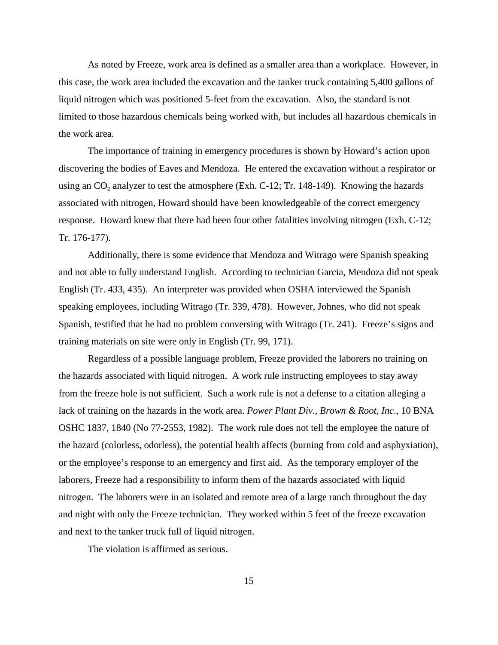As noted by Freeze, work area is defined as a smaller area than a workplace. However, in this case, the work area included the excavation and the tanker truck containing 5,400 gallons of liquid nitrogen which was positioned 5-feet from the excavation. Also, the standard is not limited to those hazardous chemicals being worked with, but includes all hazardous chemicals in the work area.

The importance of training in emergency procedures is shown by Howard's action upon discovering the bodies of Eaves and Mendoza. He entered the excavation without a respirator or using an  $CO_2$  analyzer to test the atmosphere (Exh. C-12; Tr. 148-149). Knowing the hazards associated with nitrogen, Howard should have been knowledgeable of the correct emergency response. Howard knew that there had been four other fatalities involving nitrogen (Exh. C-12; Tr. 176-177).

Additionally, there is some evidence that Mendoza and Witrago were Spanish speaking and not able to fully understand English. According to technician Garcia, Mendoza did not speak English (Tr. 433, 435). An interpreter was provided when OSHA interviewed the Spanish speaking employees, including Witrago (Tr. 339, 478). However, Johnes, who did not speak Spanish, testified that he had no problem conversing with Witrago (Tr. 241). Freeze's signs and training materials on site were only in English (Tr. 99, 171).

Regardless of a possible language problem, Freeze provided the laborers no training on the hazards associated with liquid nitrogen. A work rule instructing employees to stay away from the freeze hole is not sufficient. Such a work rule is not a defense to a citation alleging a lack of training on the hazards in the work area. *Power Plant Div., Brown & Root, Inc*., 10 BNA OSHC 1837, 1840 (No 77-2553, 1982). The work rule does not tell the employee the nature of the hazard (colorless, odorless), the potential health affects (burning from cold and asphyxiation), or the employee's response to an emergency and first aid. As the temporary employer of the laborers, Freeze had a responsibility to inform them of the hazards associated with liquid nitrogen. The laborers were in an isolated and remote area of a large ranch throughout the day and night with only the Freeze technician. They worked within 5 feet of the freeze excavation and next to the tanker truck full of liquid nitrogen.

The violation is affirmed as serious.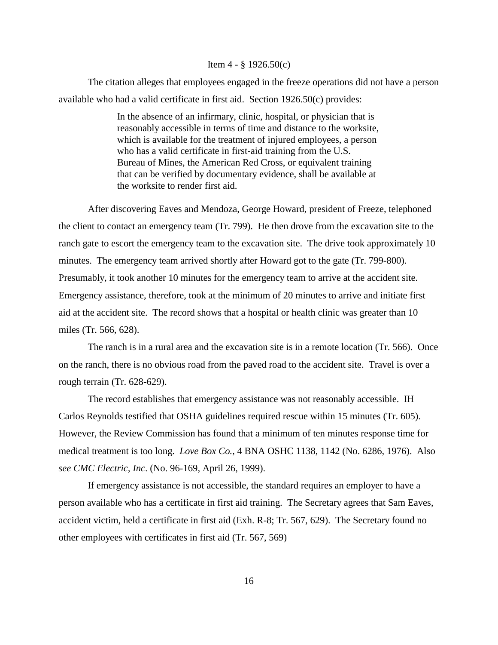#### Item  $4 - \frac{8}{9}$  1926.50(c)

The citation alleges that employees engaged in the freeze operations did not have a person available who had a valid certificate in first aid. Section 1926.50(c) provides:

> In the absence of an infirmary, clinic, hospital, or physician that is reasonably accessible in terms of time and distance to the worksite, which is available for the treatment of injured employees, a person who has a valid certificate in first-aid training from the U.S. Bureau of Mines, the American Red Cross, or equivalent training that can be verified by documentary evidence, shall be available at the worksite to render first aid.

After discovering Eaves and Mendoza, George Howard, president of Freeze, telephoned the client to contact an emergency team (Tr. 799). He then drove from the excavation site to the ranch gate to escort the emergency team to the excavation site. The drive took approximately 10 minutes. The emergency team arrived shortly after Howard got to the gate (Tr. 799-800). Presumably, it took another 10 minutes for the emergency team to arrive at the accident site. Emergency assistance, therefore, took at the minimum of 20 minutes to arrive and initiate first aid at the accident site. The record shows that a hospital or health clinic was greater than 10 miles (Tr. 566, 628).

The ranch is in a rural area and the excavation site is in a remote location (Tr. 566). Once on the ranch, there is no obvious road from the paved road to the accident site. Travel is over a rough terrain (Tr. 628-629).

The record establishes that emergency assistance was not reasonably accessible. IH Carlos Reynolds testified that OSHA guidelines required rescue within 15 minutes (Tr. 605). However, the Review Commission has found that a minimum of ten minutes response time for medical treatment is too long. *Love Box Co.,* 4 BNA OSHC 1138, 1142 (No. 6286, 1976). Also *see CMC Electric, Inc*. (No. 96-169, April 26, 1999).

If emergency assistance is not accessible, the standard requires an employer to have a person available who has a certificate in first aid training. The Secretary agrees that Sam Eaves, accident victim, held a certificate in first aid (Exh. R-8; Tr. 567, 629). The Secretary found no other employees with certificates in first aid (Tr. 567, 569)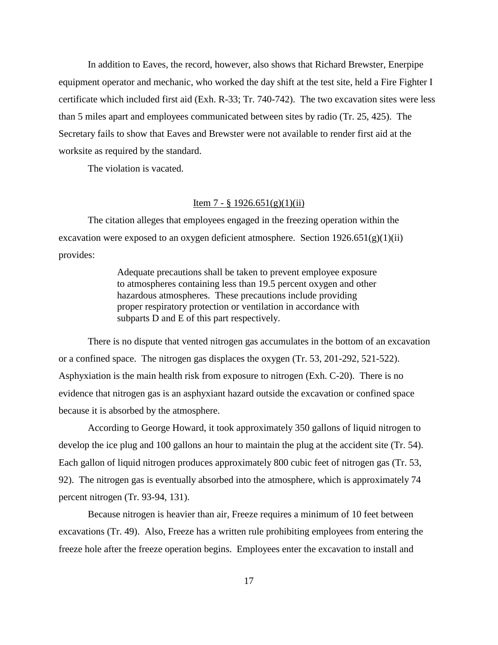In addition to Eaves, the record, however, also shows that Richard Brewster, Enerpipe equipment operator and mechanic, who worked the day shift at the test site, held a Fire Fighter I certificate which included first aid (Exh. R-33; Tr. 740-742). The two excavation sites were less than 5 miles apart and employees communicated between sites by radio (Tr. 25, 425). The Secretary fails to show that Eaves and Brewster were not available to render first aid at the worksite as required by the standard.

The violation is vacated.

## Item 7 - § 1926.651(g)(1)(ii)

The citation alleges that employees engaged in the freezing operation within the excavation were exposed to an oxygen deficient atmosphere. Section  $1926.651(g)(1)(ii)$ provides:

> Adequate precautions shall be taken to prevent employee exposure to atmospheres containing less than 19.5 percent oxygen and other hazardous atmospheres. These precautions include providing proper respiratory protection or ventilation in accordance with subparts D and E of this part respectively.

There is no dispute that vented nitrogen gas accumulates in the bottom of an excavation or a confined space. The nitrogen gas displaces the oxygen (Tr. 53, 201-292, 521-522). Asphyxiation is the main health risk from exposure to nitrogen (Exh. C-20). There is no evidence that nitrogen gas is an asphyxiant hazard outside the excavation or confined space because it is absorbed by the atmosphere.

According to George Howard, it took approximately 350 gallons of liquid nitrogen to develop the ice plug and 100 gallons an hour to maintain the plug at the accident site (Tr. 54). Each gallon of liquid nitrogen produces approximately 800 cubic feet of nitrogen gas (Tr. 53, 92). The nitrogen gas is eventually absorbed into the atmosphere, which is approximately 74 percent nitrogen (Tr. 93-94, 131).

Because nitrogen is heavier than air, Freeze requires a minimum of 10 feet between excavations (Tr. 49). Also, Freeze has a written rule prohibiting employees from entering the freeze hole after the freeze operation begins. Employees enter the excavation to install and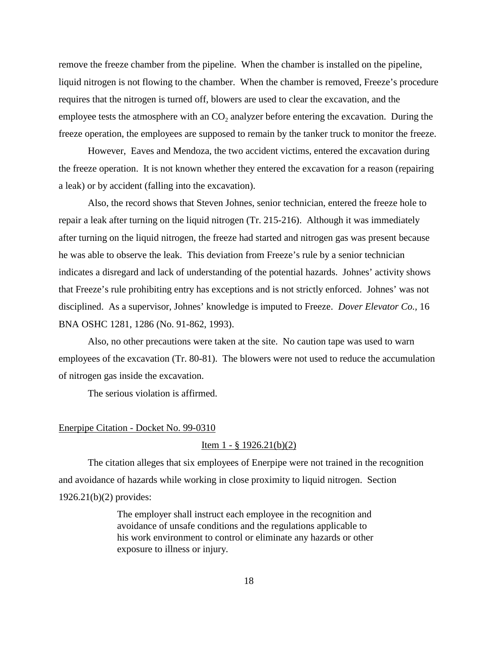remove the freeze chamber from the pipeline. When the chamber is installed on the pipeline, liquid nitrogen is not flowing to the chamber. When the chamber is removed, Freeze's procedure requires that the nitrogen is turned off, blowers are used to clear the excavation, and the employee tests the atmosphere with an CO<sub>2</sub> analyzer before entering the excavation. During the freeze operation, the employees are supposed to remain by the tanker truck to monitor the freeze.

However, Eaves and Mendoza, the two accident victims, entered the excavation during the freeze operation. It is not known whether they entered the excavation for a reason (repairing a leak) or by accident (falling into the excavation).

Also, the record shows that Steven Johnes, senior technician, entered the freeze hole to repair a leak after turning on the liquid nitrogen (Tr. 215-216). Although it was immediately after turning on the liquid nitrogen, the freeze had started and nitrogen gas was present because he was able to observe the leak. This deviation from Freeze's rule by a senior technician indicates a disregard and lack of understanding of the potential hazards. Johnes' activity shows that Freeze's rule prohibiting entry has exceptions and is not strictly enforced. Johnes' was not disciplined. As a supervisor, Johnes' knowledge is imputed to Freeze. *Dover Elevator Co.,* 16 BNA OSHC 1281, 1286 (No. 91-862, 1993).

Also, no other precautions were taken at the site. No caution tape was used to warn employees of the excavation (Tr. 80-81). The blowers were not used to reduce the accumulation of nitrogen gas inside the excavation.

The serious violation is affirmed.

### Enerpipe Citation - Docket No. 99-0310

## Item  $1 - 8$  1926.21(b)(2)

The citation alleges that six employees of Enerpipe were not trained in the recognition and avoidance of hazards while working in close proximity to liquid nitrogen. Section 1926.21(b)(2) provides:

> The employer shall instruct each employee in the recognition and avoidance of unsafe conditions and the regulations applicable to his work environment to control or eliminate any hazards or other exposure to illness or injury.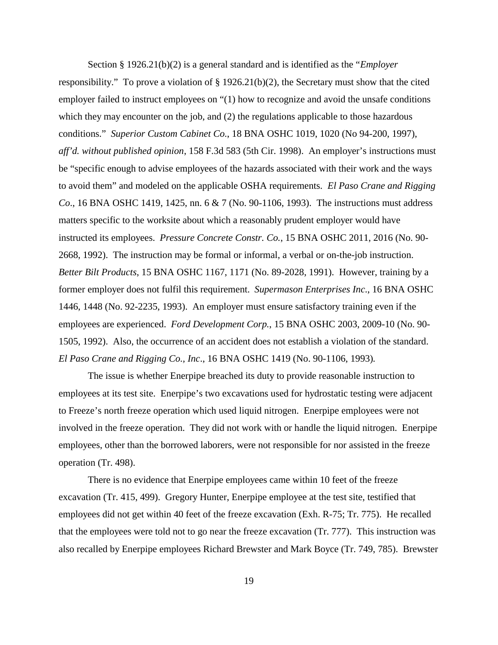Section § 1926.21(b)(2) is a general standard and is identified as the "*Employer* responsibility." To prove a violation of § 1926.21(b)(2), the Secretary must show that the cited employer failed to instruct employees on "(1) how to recognize and avoid the unsafe conditions which they may encounter on the job, and (2) the regulations applicable to those hazardous conditions." *Superior Custom Cabinet Co*., 18 BNA OSHC 1019, 1020 (No 94-200, 1997), *aff'd. without published opinion*, 158 F.3d 583 (5th Cir. 1998). An employer's instructions must be "specific enough to advise employees of the hazards associated with their work and the ways to avoid them" and modeled on the applicable OSHA requirements. *El Paso Crane and Rigging Co*., 16 BNA OSHC 1419, 1425, nn. 6 & 7 (No. 90-1106, 1993). The instructions must address matters specific to the worksite about which a reasonably prudent employer would have instructed its employees. *Pressure Concrete Constr. Co.*, 15 BNA OSHC 2011, 2016 (No. 90- 2668, 1992). The instruction may be formal or informal, a verbal or on-the-job instruction. *Better Bilt Products*, 15 BNA OSHC 1167, 1171 (No. 89-2028, 1991). However, training by a former employer does not fulfil this requirement. *Supermason Enterprises Inc*., 16 BNA OSHC 1446, 1448 (No. 92-2235, 1993). An employer must ensure satisfactory training even if the employees are experienced. *Ford Development Corp.*, 15 BNA OSHC 2003, 2009-10 (No. 90- 1505, 1992). Also, the occurrence of an accident does not establish a violation of the standard. *El Paso Crane and Rigging Co., Inc*., 16 BNA OSHC 1419 (No. 90-1106, 1993)*.*

The issue is whether Enerpipe breached its duty to provide reasonable instruction to employees at its test site. Enerpipe's two excavations used for hydrostatic testing were adjacent to Freeze's north freeze operation which used liquid nitrogen. Enerpipe employees were not involved in the freeze operation. They did not work with or handle the liquid nitrogen. Enerpipe employees, other than the borrowed laborers, were not responsible for nor assisted in the freeze operation (Tr. 498).

There is no evidence that Enerpipe employees came within 10 feet of the freeze excavation (Tr. 415, 499). Gregory Hunter, Enerpipe employee at the test site, testified that employees did not get within 40 feet of the freeze excavation (Exh. R-75; Tr. 775). He recalled that the employees were told not to go near the freeze excavation (Tr. 777). This instruction was also recalled by Enerpipe employees Richard Brewster and Mark Boyce (Tr. 749, 785). Brewster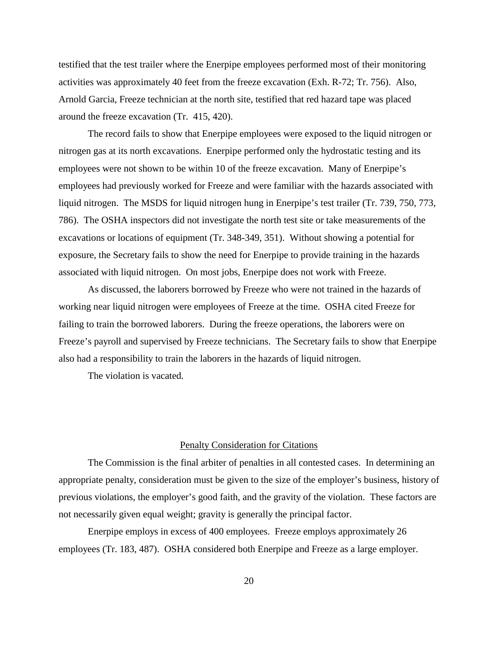testified that the test trailer where the Enerpipe employees performed most of their monitoring activities was approximately 40 feet from the freeze excavation (Exh. R-72; Tr. 756). Also, Arnold Garcia, Freeze technician at the north site, testified that red hazard tape was placed around the freeze excavation (Tr. 415, 420).

The record fails to show that Enerpipe employees were exposed to the liquid nitrogen or nitrogen gas at its north excavations. Enerpipe performed only the hydrostatic testing and its employees were not shown to be within 10 of the freeze excavation. Many of Enerpipe's employees had previously worked for Freeze and were familiar with the hazards associated with liquid nitrogen. The MSDS for liquid nitrogen hung in Enerpipe's test trailer (Tr. 739, 750, 773, 786). The OSHA inspectors did not investigate the north test site or take measurements of the excavations or locations of equipment (Tr. 348-349, 351). Without showing a potential for exposure, the Secretary fails to show the need for Enerpipe to provide training in the hazards associated with liquid nitrogen. On most jobs, Enerpipe does not work with Freeze.

As discussed, the laborers borrowed by Freeze who were not trained in the hazards of working near liquid nitrogen were employees of Freeze at the time. OSHA cited Freeze for failing to train the borrowed laborers. During the freeze operations, the laborers were on Freeze's payroll and supervised by Freeze technicians. The Secretary fails to show that Enerpipe also had a responsibility to train the laborers in the hazards of liquid nitrogen.

The violation is vacated.

#### Penalty Consideration for Citations

The Commission is the final arbiter of penalties in all contested cases. In determining an appropriate penalty, consideration must be given to the size of the employer's business, history of previous violations, the employer's good faith, and the gravity of the violation. These factors are not necessarily given equal weight; gravity is generally the principal factor.

Enerpipe employs in excess of 400 employees. Freeze employs approximately 26 employees (Tr. 183, 487). OSHA considered both Enerpipe and Freeze as a large employer.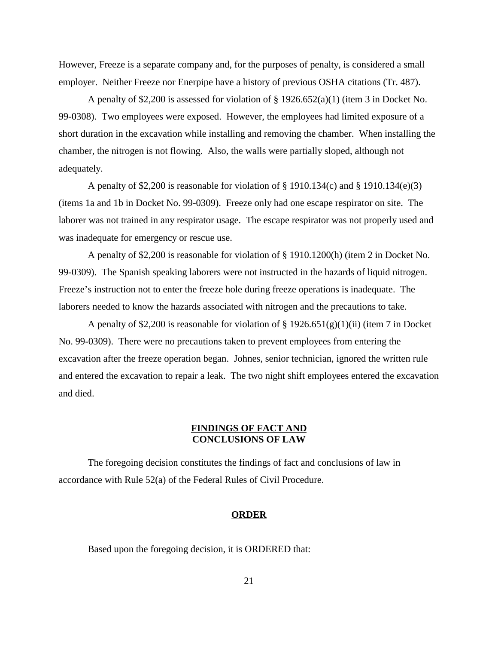However, Freeze is a separate company and, for the purposes of penalty, is considered a small employer. Neither Freeze nor Enerpipe have a history of previous OSHA citations (Tr. 487).

A penalty of \$2,200 is assessed for violation of  $\S$  1926.652(a)(1) (item 3 in Docket No. 99-0308). Two employees were exposed. However, the employees had limited exposure of a short duration in the excavation while installing and removing the chamber. When installing the chamber, the nitrogen is not flowing. Also, the walls were partially sloped, although not adequately.

A penalty of \$2,200 is reasonable for violation of § 1910.134(c) and § 1910.134(e)(3) (items 1a and 1b in Docket No. 99-0309). Freeze only had one escape respirator on site. The laborer was not trained in any respirator usage. The escape respirator was not properly used and was inadequate for emergency or rescue use.

A penalty of \$2,200 is reasonable for violation of § 1910.1200(h) (item 2 in Docket No. 99-0309). The Spanish speaking laborers were not instructed in the hazards of liquid nitrogen. Freeze's instruction not to enter the freeze hole during freeze operations is inadequate. The laborers needed to know the hazards associated with nitrogen and the precautions to take.

A penalty of \$2,200 is reasonable for violation of  $\S 1926.651(g)(1)(ii)$  (item 7 in Docket No. 99-0309). There were no precautions taken to prevent employees from entering the excavation after the freeze operation began. Johnes, senior technician, ignored the written rule and entered the excavation to repair a leak. The two night shift employees entered the excavation and died.

## **FINDINGS OF FACT AND CONCLUSIONS OF LAW**

The foregoing decision constitutes the findings of fact and conclusions of law in accordance with Rule 52(a) of the Federal Rules of Civil Procedure.

## **ORDER**

Based upon the foregoing decision, it is ORDERED that: